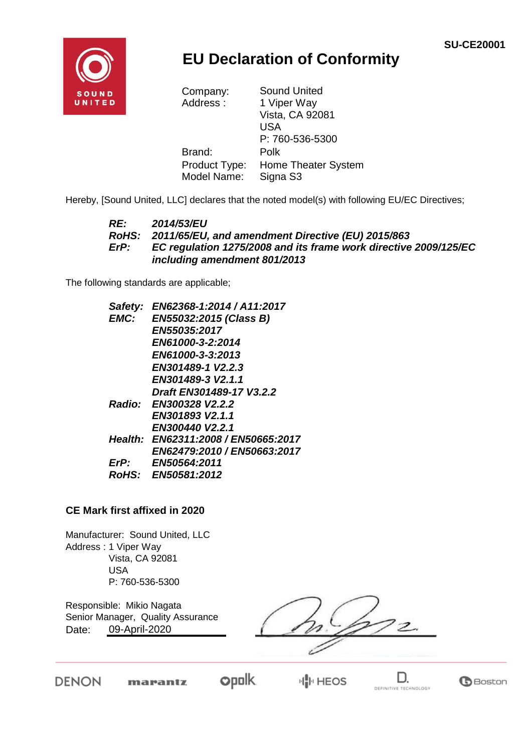

## **EU Declaration of Conformity**

| <b>Sound United</b>        |  |
|----------------------------|--|
| 1 Viper Way                |  |
| Vista, CA 92081            |  |
| USA                        |  |
| P: 760-536-5300            |  |
| Polk                       |  |
| <b>Home Theater System</b> |  |
| Signa S3                   |  |
|                            |  |

Hereby, [Sound United, LLC] declares that the noted model(s) with following EU/EC Directives;

#### *RE: 2014/53/EU RoHS: 2011/65/EU, and amendment Directive (EU) 2015/863 ErP: EC regulation 1275/2008 and its frame work directive 2009/125/EC including amendment 801/2013*

The following standards are applicable;

| Safety:     | EN62368-1:2014 / A11:2017           |
|-------------|-------------------------------------|
| <b>EMC:</b> | EN55032:2015 (Class B)              |
|             | <b>EN55035:2017</b>                 |
|             | EN61000-3-2:2014                    |
|             | EN61000-3-3:2013                    |
|             | EN301489-1 V2.2.3                   |
|             | EN301489-3 V2.1.1                   |
|             | Draft EN301489-17 V3.2.2            |
|             | Radio: EN300328 V2.2.2              |
|             | EN301893 V2.1.1                     |
|             | EN300440 V2.2.1                     |
|             | Health: EN62311:2008 / EN50665:2017 |
|             | EN62479:2010 / EN50663:2017         |
| ErP:        | <b>EN50564:2011</b>                 |
|             | RoHS: EN50581:2012                  |

#### **CE Mark first affixed in 2020**

Manufacturer: Sound United, LLC Address : 1 Viper Way Vista, CA 92081 USA P: 760-536-5300

Responsible: Mikio Nagata Date: Senior Manager, Quality Assurance 09-April-2020

 $\overline{c}$ 

**DENON** 

marantz

**opolk HIP HEOS** 

D. DEFINITIVE TECHNOLOGY

**B**Boston